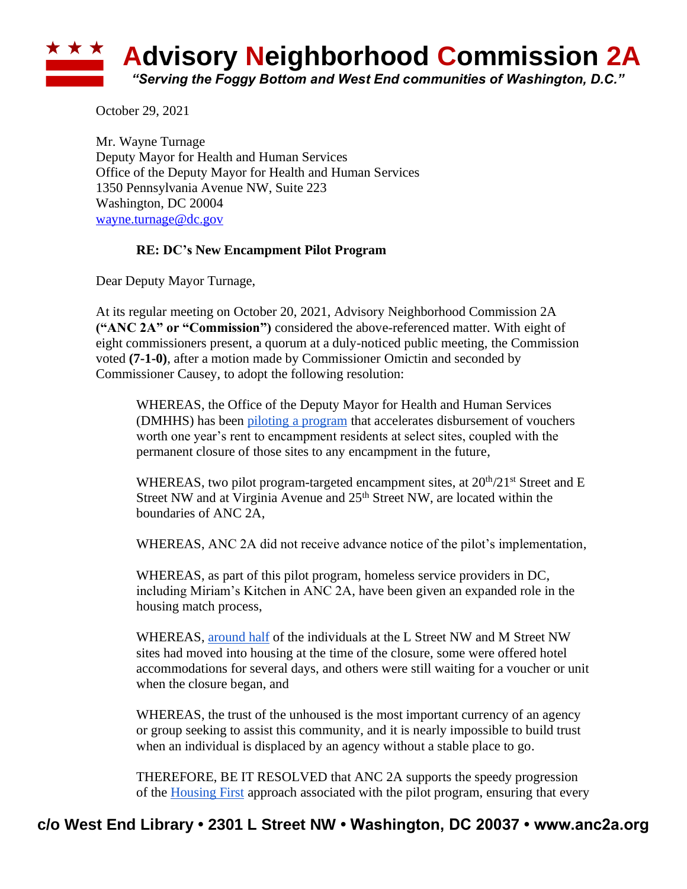

October 29, 2021

Mr. Wayne Turnage Deputy Mayor for Health and Human Services Office of the Deputy Mayor for Health and Human Services 1350 Pennsylvania Avenue NW, Suite 223 Washington, DC 20004 [wayne.turnage@dc.gov](mailto:wayne.turnage@dc.gov)

## **RE: DC's New Encampment Pilot Program**

Dear Deputy Mayor Turnage,

At its regular meeting on October 20, 2021, Advisory Neighborhood Commission 2A **("ANC 2A" or "Commission")** considered the above-referenced matter. With eight of eight commissioners present, a quorum at a duly-noticed public meeting, the Commission voted **(7-1-0)**, after a motion made by Commissioner Omictin and seconded by Commissioner Causey, to adopt the following resolution:

WHEREAS, the Office of the Deputy Mayor for Health and Human Services (DMHHS) has been [piloting a program](https://dmhhs.dc.gov/sites/default/files/dc/sites/dmhhs/Encampment%20Pilot%20Information%20Sheet.pdf) that accelerates disbursement of vouchers worth one year's rent to encampment residents at select sites, coupled with the permanent closure of those sites to any encampment in the future,

WHEREAS, two pilot program-targeted encampment sites, at  $20<sup>th</sup>/21<sup>st</sup>$  Street and E Street NW and at Virginia Avenue and 25<sup>th</sup> Street NW, are located within the boundaries of ANC 2A,

WHEREAS, ANC 2A did not receive advance notice of the pilot's implementation,

WHEREAS, as part of this pilot program, homeless service providers in DC, including Miriam's Kitchen in ANC 2A, have been given an expanded role in the housing match process,

WHEREAS, [around half](https://dcist.com/story/21/10/01/dc-makes-final-push-to-close-down-noma-encampments/) of the individuals at the L Street NW and M Street NW sites had moved into housing at the time of the closure, some were offered hotel accommodations for several days, and others were still waiting for a voucher or unit when the closure began, and

WHEREAS, the trust of the unhoused is the most important currency of an agency or group seeking to assist this community, and it is nearly impossible to build trust when an individual is displaced by an agency without a stable place to go.

THEREFORE, BE IT RESOLVED that ANC 2A supports the speedy progression of the [Housing First](https://endhomelessness.org/resource/housing-first/) approach associated with the pilot program, ensuring that every

## **c/o West End Library • 2301 L Street NW • Washington, DC 20037 • www.anc2a.org**